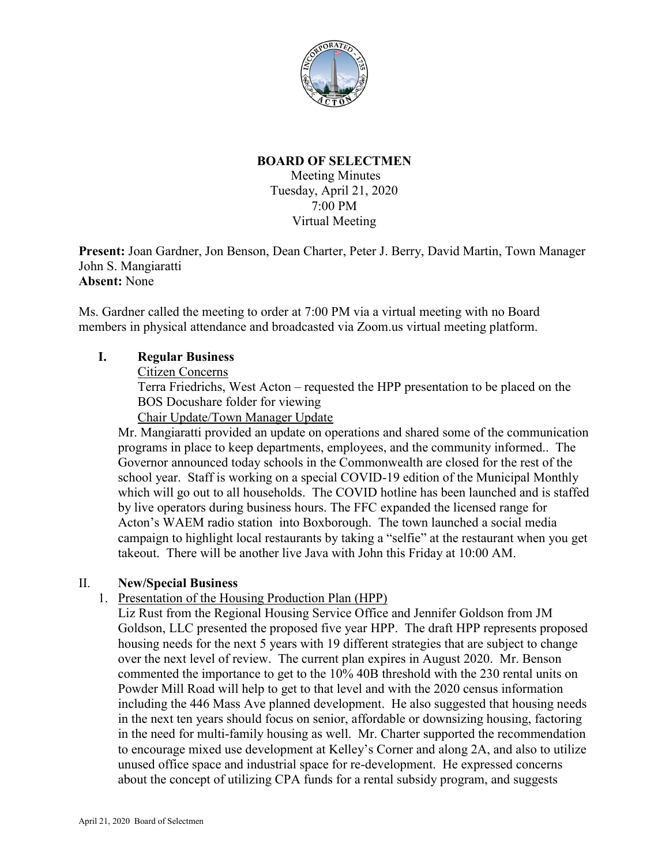

## **BOARD OF SELECTMEN**

Meeting Minutes Tuesday, April 21, 2020 7:00 PM Virtual Meeting

**Present:** Joan Gardner, Jon Benson, Dean Charter, Peter J. Berry, David Martin, Town Manager John S. Mangiaratti **Absent:** None

Ms. Gardner called the meeting to order at 7:00 PM via a virtual meeting with no Board members in physical attendance and broadcasted via Zoom.us virtual meeting platform.

## **I. Regular Business**

Citizen Concerns

Terra Friedrichs, West Acton – requested the HPP presentation to be placed on the BOS Docushare folder for viewing

Chair Update/Town Manager Update

Mr. Mangiaratti provided an update on operations and shared some of the communication programs in place to keep departments, employees, and the community informed.. The Governor announced today schools in the Commonwealth are closed for the rest of the school year. Staff is working on a special COVID-19 edition of the Municipal Monthly which will go out to all households. The COVID hotline has been launched and is staffed by live operators during business hours. The FFC expanded the licensed range for Acton's WAEM radio station into Boxborough. The town launched a social media campaign to highlight local restaurants by taking a "selfie" at the restaurant when you get takeout. There will be another live Java with John this Friday at 10:00 AM.

### II. **New/Special Business**

# 1. Presentation of the Housing Production Plan (HPP)

Liz Rust from the Regional Housing Service Office and Jennifer Goldson from JM Goldson, LLC presented the proposed five year HPP. The draft HPP represents proposed housing needs for the next 5 years with 19 different strategies that are subject to change over the next level of review. The current plan expires in August 2020. Mr. Benson commented the importance to get to the 10% 40B threshold with the 230 rental units on Powder Mill Road will help to get to that level and with the 2020 census information including the 446 Mass Ave planned development. He also suggested that housing needs in the next ten years should focus on senior, affordable or downsizing housing, factoring in the need for multi-family housing as well. Mr. Charter supported the recommendation to encourage mixed use development at Kelley's Corner and along 2A, and also to utilize unused office space and industrial space for re-development. He expressed concerns about the concept of utilizing CPA funds for a rental subsidy program, and suggests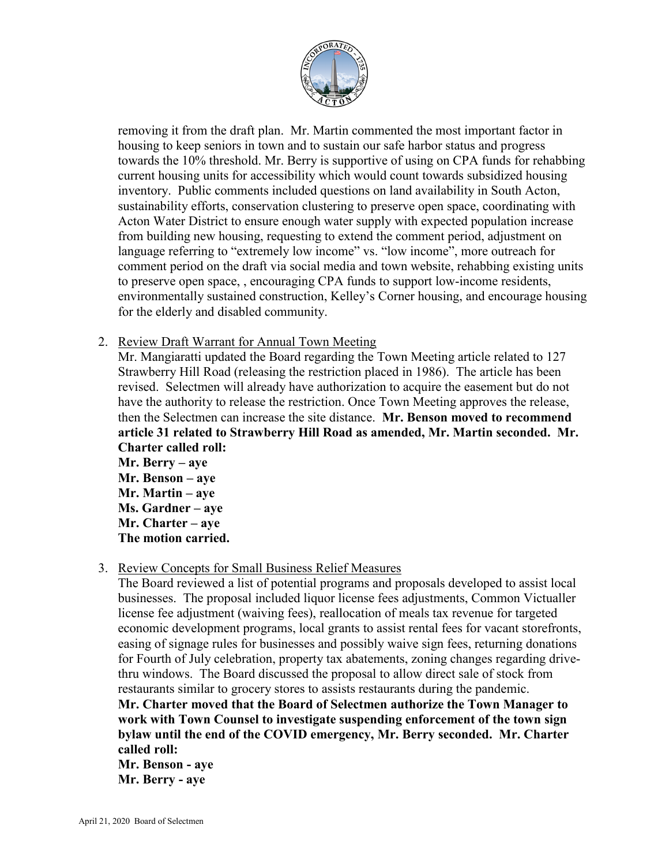

removing it from the draft plan. Mr. Martin commented the most important factor in housing to keep seniors in town and to sustain our safe harbor status and progress towards the 10% threshold. Mr. Berry is supportive of using on CPA funds for rehabbing current housing units for accessibility which would count towards subsidized housing inventory. Public comments included questions on land availability in South Acton, sustainability efforts, conservation clustering to preserve open space, coordinating with Acton Water District to ensure enough water supply with expected population increase from building new housing, requesting to extend the comment period, adjustment on language referring to "extremely low income" vs. "low income", more outreach for comment period on the draft via social media and town website, rehabbing existing units to preserve open space, , encouraging CPA funds to support low-income residents, environmentally sustained construction, Kelley's Corner housing, and encourage housing for the elderly and disabled community.

2. Review Draft Warrant for Annual Town Meeting

Mr. Mangiaratti updated the Board regarding the Town Meeting article related to 127 Strawberry Hill Road (releasing the restriction placed in 1986). The article has been revised. Selectmen will already have authorization to acquire the easement but do not have the authority to release the restriction. Once Town Meeting approves the release, then the Selectmen can increase the site distance. **Mr. Benson moved to recommend article 31 related to Strawberry Hill Road as amended, Mr. Martin seconded. Mr. Charter called roll:**

**Mr. Berry – aye Mr. Benson – aye Mr. Martin – aye Ms. Gardner – aye Mr. Charter – aye The motion carried.**

3. Review Concepts for Small Business Relief Measures

The Board reviewed a list of potential programs and proposals developed to assist local businesses. The proposal included liquor license fees adjustments, Common Victualler license fee adjustment (waiving fees), reallocation of meals tax revenue for targeted economic development programs, local grants to assist rental fees for vacant storefronts, easing of signage rules for businesses and possibly waive sign fees, returning donations for Fourth of July celebration, property tax abatements, zoning changes regarding drivethru windows. The Board discussed the proposal to allow direct sale of stock from restaurants similar to grocery stores to assists restaurants during the pandemic.

**Mr. Charter moved that the Board of Selectmen authorize the Town Manager to work with Town Counsel to investigate suspending enforcement of the town sign bylaw until the end of the COVID emergency, Mr. Berry seconded. Mr. Charter called roll:**

**Mr. Benson - aye Mr. Berry - aye**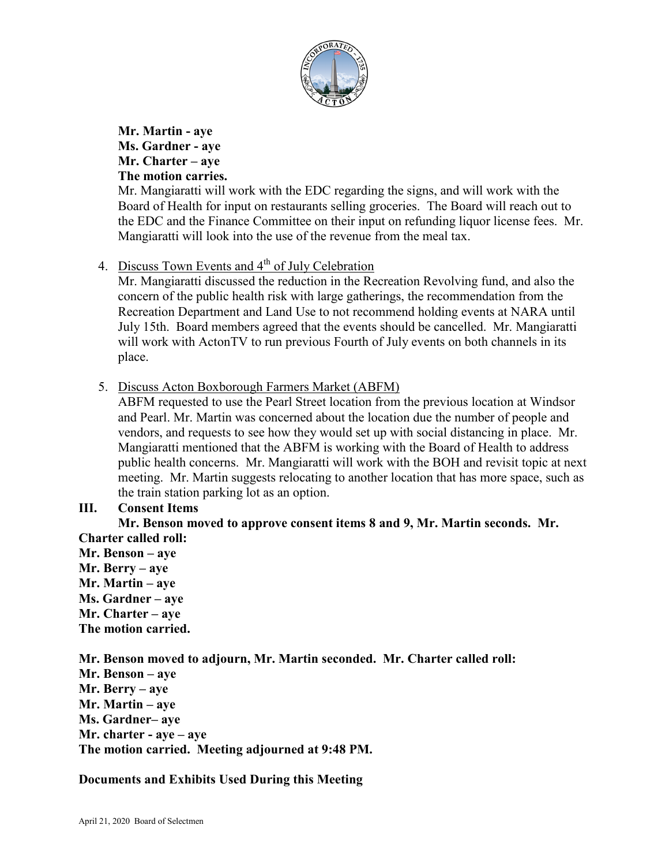

**Mr. Martin - aye Ms. Gardner - aye Mr. Charter – aye The motion carries.**

Mr. Mangiaratti will work with the EDC regarding the signs, and will work with the Board of Health for input on restaurants selling groceries. The Board will reach out to the EDC and the Finance Committee on their input on refunding liquor license fees. Mr. Mangiaratti will look into the use of the revenue from the meal tax.

4. Discuss Town Events and 4<sup>th</sup> of July Celebration

Mr. Mangiaratti discussed the reduction in the Recreation Revolving fund, and also the concern of the public health risk with large gatherings, the recommendation from the Recreation Department and Land Use to not recommend holding events at NARA until July 15th. Board members agreed that the events should be cancelled. Mr. Mangiaratti will work with ActonTV to run previous Fourth of July events on both channels in its place.

5. Discuss Acton Boxborough Farmers Market (ABFM)

ABFM requested to use the Pearl Street location from the previous location at Windsor and Pearl. Mr. Martin was concerned about the location due the number of people and vendors, and requests to see how they would set up with social distancing in place. Mr. Mangiaratti mentioned that the ABFM is working with the Board of Health to address public health concerns. Mr. Mangiaratti will work with the BOH and revisit topic at next meeting. Mr. Martin suggests relocating to another location that has more space, such as the train station parking lot as an option.

# **III. Consent Items**

**Mr. Benson moved to approve consent items 8 and 9, Mr. Martin seconds. Mr. Charter called roll:**

- **Mr. Benson – aye**
- **Mr. Berry – aye Mr. Martin – aye Ms. Gardner – aye Mr. Charter – aye**

**The motion carried.**

**Mr. Benson moved to adjourn, Mr. Martin seconded. Mr. Charter called roll:**

**Mr. Benson – aye Mr. Berry – aye Mr. Martin – aye Ms. Gardner– aye Mr. charter - aye – aye The motion carried. Meeting adjourned at 9:48 PM.**

**Documents and Exhibits Used During this Meeting**